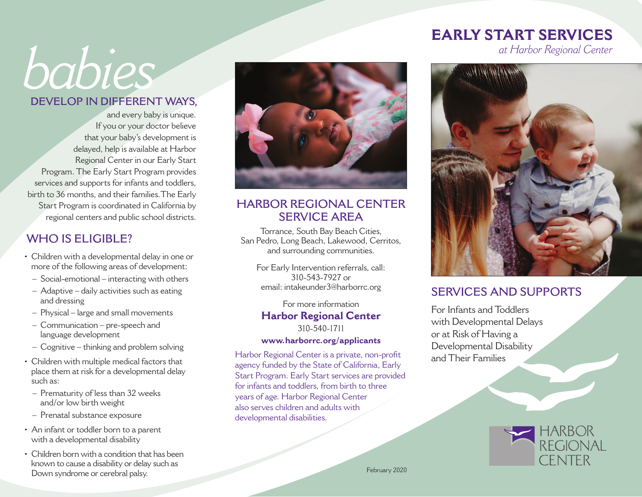# *babies*

#### **DEVELOP IN DIFFERENT WAYS,**

and every baby is unique. If you or your doctor believe that your baby's development is delayed, help is available at Harbor Regional Center in our Early Start Program. The Early Start Program provides services and supports for infants and toddlers, birth to 36 months, and their families.The Early Start Program is coordinated in California by regional centers and public school districts.

#### **WHO IS ELIGIBLE?**

- Children with a developmental delay in one or more of the following areas of development:
	- Social-emotional interacting with others
	- Adaptive daily activities such as eating and dressing
	- Physical large and small movements
	- Communication pre-speech and language development
	- Cognitive thinking and problem solving
- Children with multiple medical factors that place them at risk for a developmental delay such as:
	- Prematurity of less than 32 weeks and/or low birth weight
	- Prenatal substance exposure
- An infant or toddler born to a parent with a developmental disability
- Children born with a condition that has been known to cause a disability or delay such as Down syndrome or cerebral palsy.



#### **HARBOR REGIONAL CENTER SERVICE AREA**

Torrance, South Bay Beach Cities, San Pedro, Long Beach, Lakewood, Cerritos, and surrounding communities.

For Early Intervention referrals, call: 310-543-7927 or email: intakeunder3@harborrc.org

For more information **Harbor Regional Center** 310-540-1711

#### **www.harborrc.org/applicants**

Harbor Regional Center is a private, non-profit agency funded by the State of California, Early Start Program. Early Start services are provided for infants and toddlers, from birth to three years of age. Harbor Regional Center also serves children and adults with developmental disabilities.

## **EARLY START SERVICES**

*at Harbor Regional Center*



#### **SERVICES AND SUPPORTS**

For Infants and Toddlers with Developmental Delays or at Risk of Having a Developmental Disability and Their Families